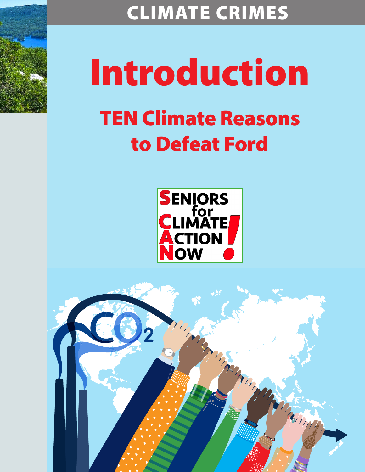

CLIMATE CRIMES

## Introduction TEN Climate Reasons to Defeat Ford



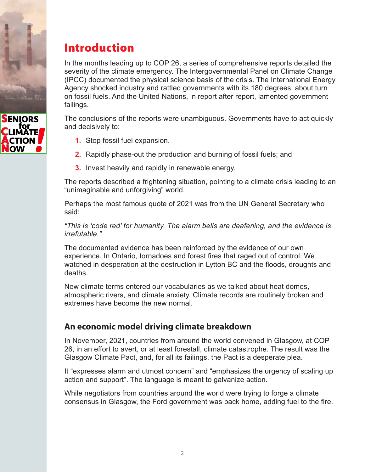



## Introduction

In the months leading up to COP 26, a series of comprehensive reports detailed the severity of the climate emergency. The Intergovernmental Panel on Climate Change (IPCC) documented the physical science basis of the crisis. The International Energy Agency shocked industry and rattled governments with its 180 degrees, about turn on fossil fuels. And the United Nations, in report after report, lamented government failings.

The conclusions of the reports were unambiguous. Governments have to act quickly and decisively to:

- **1.** Stop fossil fuel expansion.
- **2.** Rapidly phase-out the production and burning of fossil fuels; and
- **3.** Invest heavily and rapidly in renewable energy.

The reports described a frightening situation, pointing to a climate crisis leading to an "unimaginable and unforgiving" world.

Perhaps the most famous quote of 2021 was from the UN General Secretary who said:

*"This is 'code red' for humanity. The alarm bells are deafening, and the evidence is irrefutable."* 

The documented evidence has been reinforced by the evidence of our own experience. In Ontario, tornadoes and forest fires that raged out of control. We watched in desperation at the destruction in Lytton BC and the floods, droughts and deaths.

New climate terms entered our vocabularies as we talked about heat domes, atmospheric rivers, and climate anxiety. Climate records are routinely broken and extremes have become the new normal.

## **An economic model driving climate breakdown**

In November, 2021, countries from around the world convened in Glasgow, at COP 26, in an effort to avert, or at least forestall, climate catastrophe. The result was the Glasgow Climate Pact, and, for all its failings, the Pact is a desperate plea.

It "expresses alarm and utmost concern" and "emphasizes the urgency of scaling up action and support". The language is meant to galvanize action.

While negotiators from countries around the world were trying to forge a climate consensus in Glasgow, the Ford government was back home, adding fuel to the fire.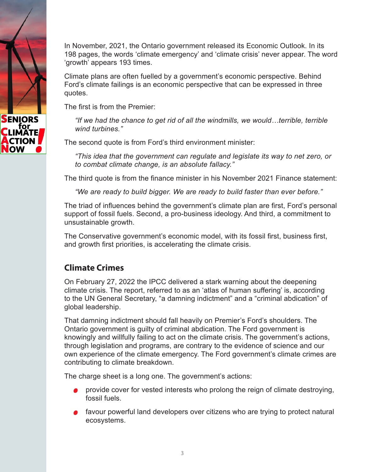

In November, 2021, the Ontario government released its Economic Outlook. In its 198 pages, the words 'climate emergency' and 'climate crisis' never appear. The word 'growth' appears 193 times.

Climate plans are often fuelled by a government's economic perspective. Behind Ford's climate failings is an economic perspective that can be expressed in three quotes.

The first is from the Premier:

 *"If we had the chance to get rid of all the windmills, we would…terrible, terrible wind turbines."* 

The second quote is from Ford's third environment minister:

 *"This idea that the government can regulate and legislate its way to net zero, or to combat climate change, is an absolute fallacy."* 

The third quote is from the finance minister in his November 2021 Finance statement:

*"We are ready to build bigger. We are ready to build faster than ever before."*

The triad of influences behind the government's climate plan are first, Ford's personal support of fossil fuels. Second, a pro-business ideology. And third, a commitment to unsustainable growth.

The Conservative government's economic model, with its fossil first, business first, and growth first priorities, is accelerating the climate crisis.

## **Climate Crimes**

On February 27, 2022 the IPCC delivered a stark warning about the deepening climate crisis. The report, referred to as an 'atlas of human suffering' is, according to the UN General Secretary, "a damning indictment" and a "criminal abdication" of global leadership.

That damning indictment should fall heavily on Premier's Ford's shoulders. The Ontario government is guilty of criminal abdication. The Ford government is knowingly and willfully failing to act on the climate crisis. The government's actions, through legislation and programs, are contrary to the evidence of science and our own experience of the climate emergency. The Ford government's climate crimes are contributing to climate breakdown.

The charge sheet is a long one. The government's actions:

- **P** provide cover for vested interests who prolong the reign of climate destroying, fossil fuels.
- favour powerful land developers over citizens who are trying to protect natural ecosystems.